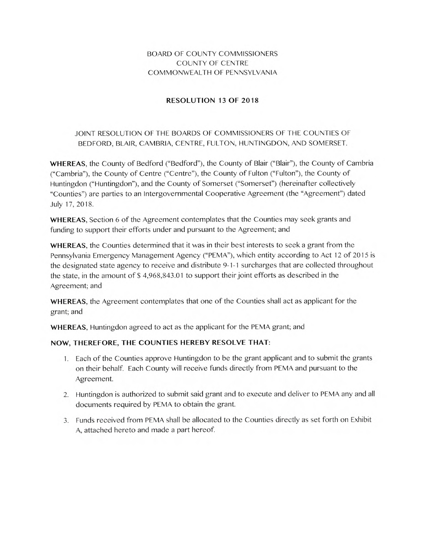### BOARD OF COUNTY COMMISSIONERS COUNTY OF CENTRE COMMONWEALTH OF PENNSYLVANIA

#### **RESOLUTION 13 OF 2018**

## JOINT RESOLUTION OF THE BOARDS OF COMMISSIONERS OF THE COUNTIES OF BEDFORD, BLAIR, CAMBRIA, CENTRE, FULTON, HUNTINGDON, AND SOMERSET.

**WHEREAS,** the County of Bedford ("Bedford"), the County of Blair ("Blair"), the County of Cambria ("Cambria"), the County of Centre ("Centre"), the County of Fulton ("Fulton"), the County of Huntingdon ("Huntingdon"), and the County of Somerset ("Somerset") (hereinafter collectively "Counties") are parties to an Intergovernmental Cooperative Agreement (the "Agreement") dated July 17, 2018.

**WHEREAS,** Section 6 of the Agreement contemplates that the Counties may seek grants and funding to support their efforts under and pursuant to the Agreement; and

**WHEREAS,** the Counties determined that it was in their best interests to seek a grant from the Pennsylvania Emergency Management Agency ("PEMA"), which entity according to Act 12 of 201*5* is the designated state agency to receive and distribute 9-1-1 surcharges that are collected throughout the state, in the amount of \$ 4,968,843.01 to support their joint efforts as described in the Agreement; and

**WHEREAS,** the Agreement contemplates that one of the Counties shall act as applicant for the grant; and

**WHEREAS,** Huntingdon agreed to act as the applicant for the PEMA grant; and

### **NOW, THEREFORE, THE COUNTIES HEREBY RESOLVE THAT:**

- Each of the Counties approve Huntingdon to be the grant applicant and to submit the grants on their behalf. Each County will receive funds directly from PEMA and pursuant to the Agreement.
- 2. Huntingdon is authorized to submit said grant and to execute and deliver to PEMA any and all documents required by PEMA to obtain the grant.
- 3. Funds received from PEMA shall be allocated to the Counties directly as set forth on Exhibit A, attached hereto and made a part hereof.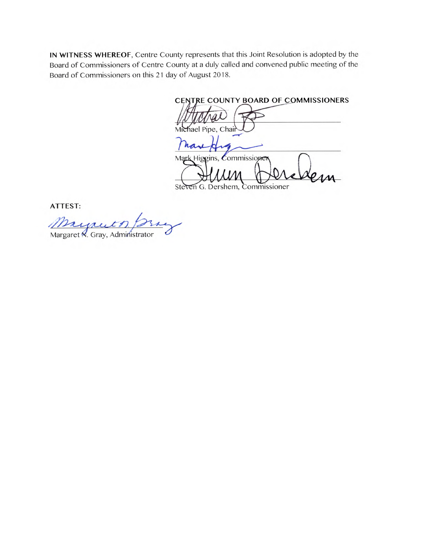**IN WITNESS WHEREOF,** Centre County represents that this Joint Resolution is adopted by the Board of Commissioners of Centre County at a duly called and convened public meeting of the Board of Commissioners on this 21 day of August 2018.

**CENTRE COUNTY BOARD OF COMMISSIONERS**  Michael Pipe, Chai

have Mark Higgins, Commissioner **mm' AA** 

Steven G. Dershem, Commissioner

ATTEST:

<u>Margaret n. f. 22</u><br>Margaret N. Gray, Administrator